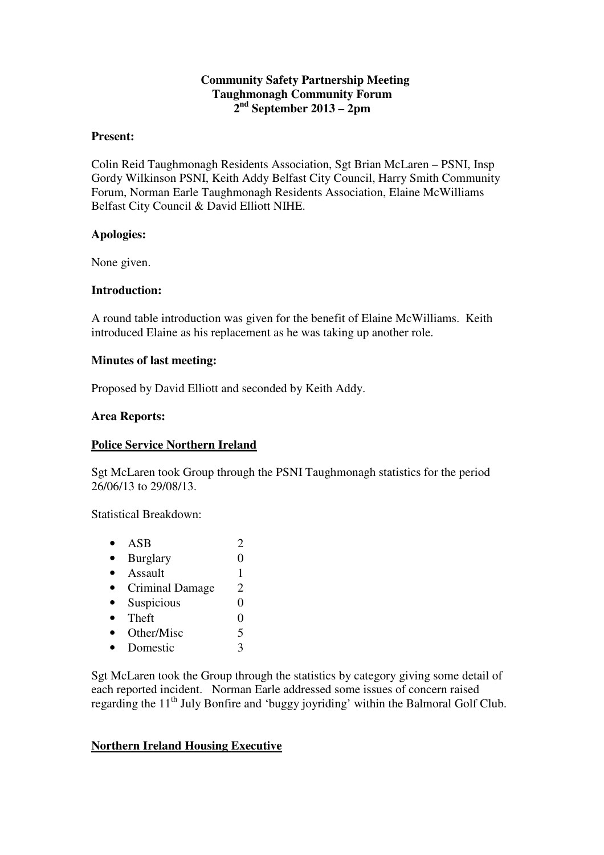### **Community Safety Partnership Meeting Taughmonagh Community Forum 2 nd September 2013 – 2pm**

#### **Present:**

Colin Reid Taughmonagh Residents Association, Sgt Brian McLaren – PSNI, Insp Gordy Wilkinson PSNI, Keith Addy Belfast City Council, Harry Smith Community Forum, Norman Earle Taughmonagh Residents Association, Elaine McWilliams Belfast City Council & David Elliott NIHE.

#### **Apologies:**

None given.

#### **Introduction:**

A round table introduction was given for the benefit of Elaine McWilliams. Keith introduced Elaine as his replacement as he was taking up another role.

#### **Minutes of last meeting:**

Proposed by David Elliott and seconded by Keith Addy.

#### **Area Reports:**

#### **Police Service Northern Ireland**

Sgt McLaren took Group through the PSNI Taughmonagh statistics for the period 26/06/13 to 29/08/13.

Statistical Breakdown:

•  $ASB$  2 • Burglary  $0$ • Assault  $1$ • Criminal Damage 2 • Suspicious 0 • Theft  $0$ • Other/Misc 5 • Domestic 3

Sgt McLaren took the Group through the statistics by category giving some detail of each reported incident. Norman Earle addressed some issues of concern raised regarding the 11<sup>th</sup> July Bonfire and 'buggy joyriding' within the Balmoral Golf Club.

#### **Northern Ireland Housing Executive**